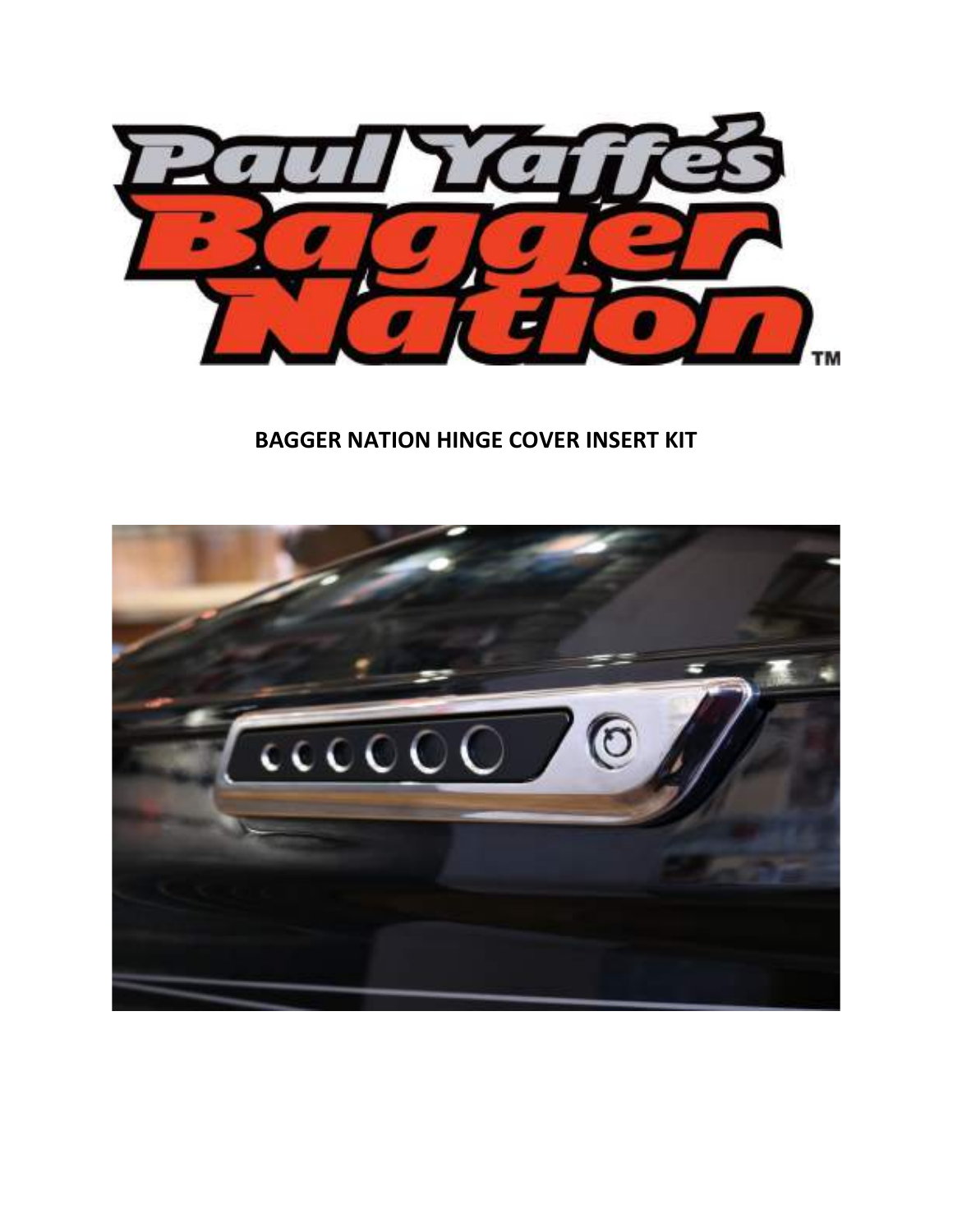

## **BAGGER NATION HINGE COVER INSERT KIT**

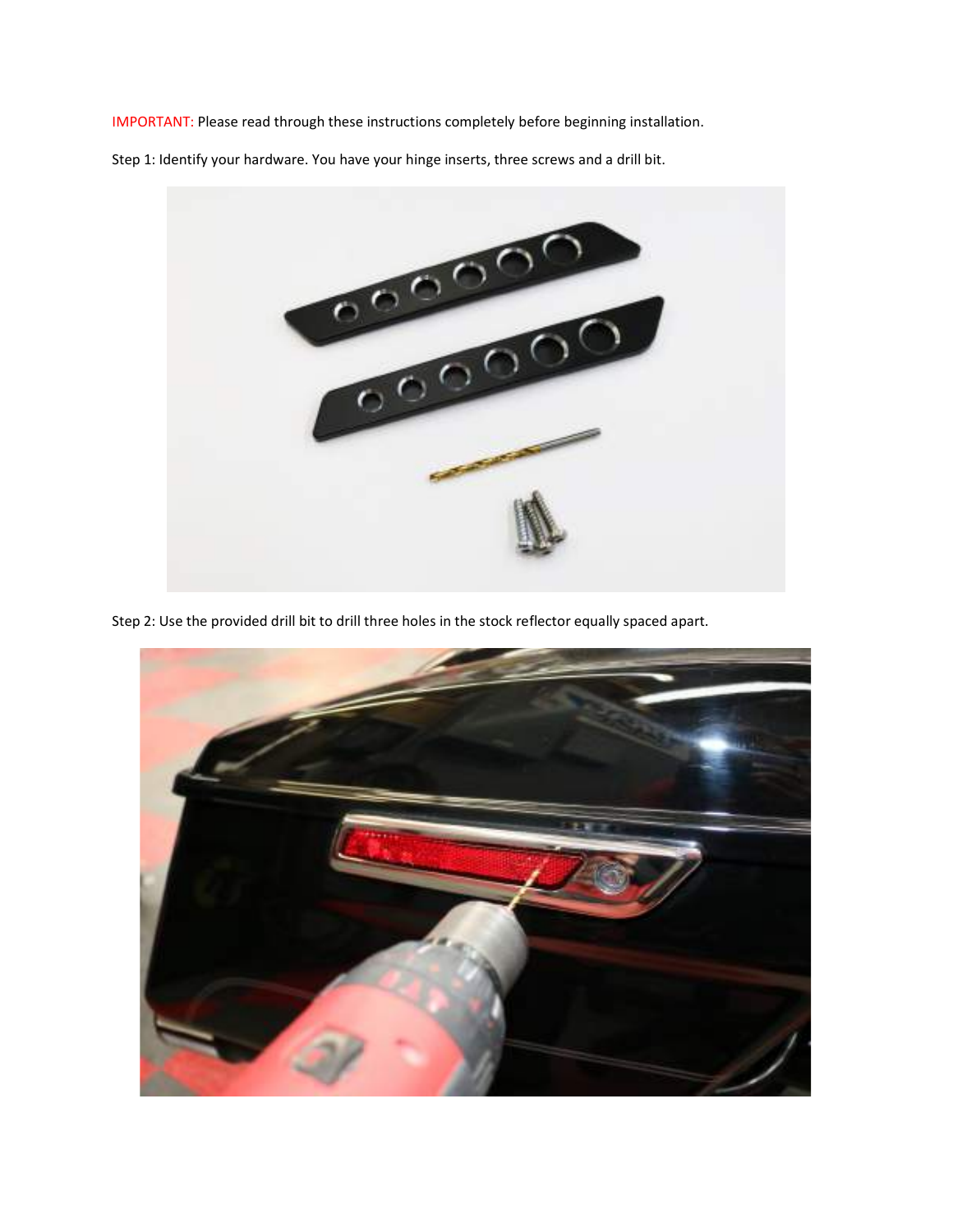IMPORTANT: Please read through these instructions completely before beginning installation.

Step 1: Identify your hardware. You have your hinge inserts, three screws and a drill bit.



Step 2: Use the provided drill bit to drill three holes in the stock reflector equally spaced apart.

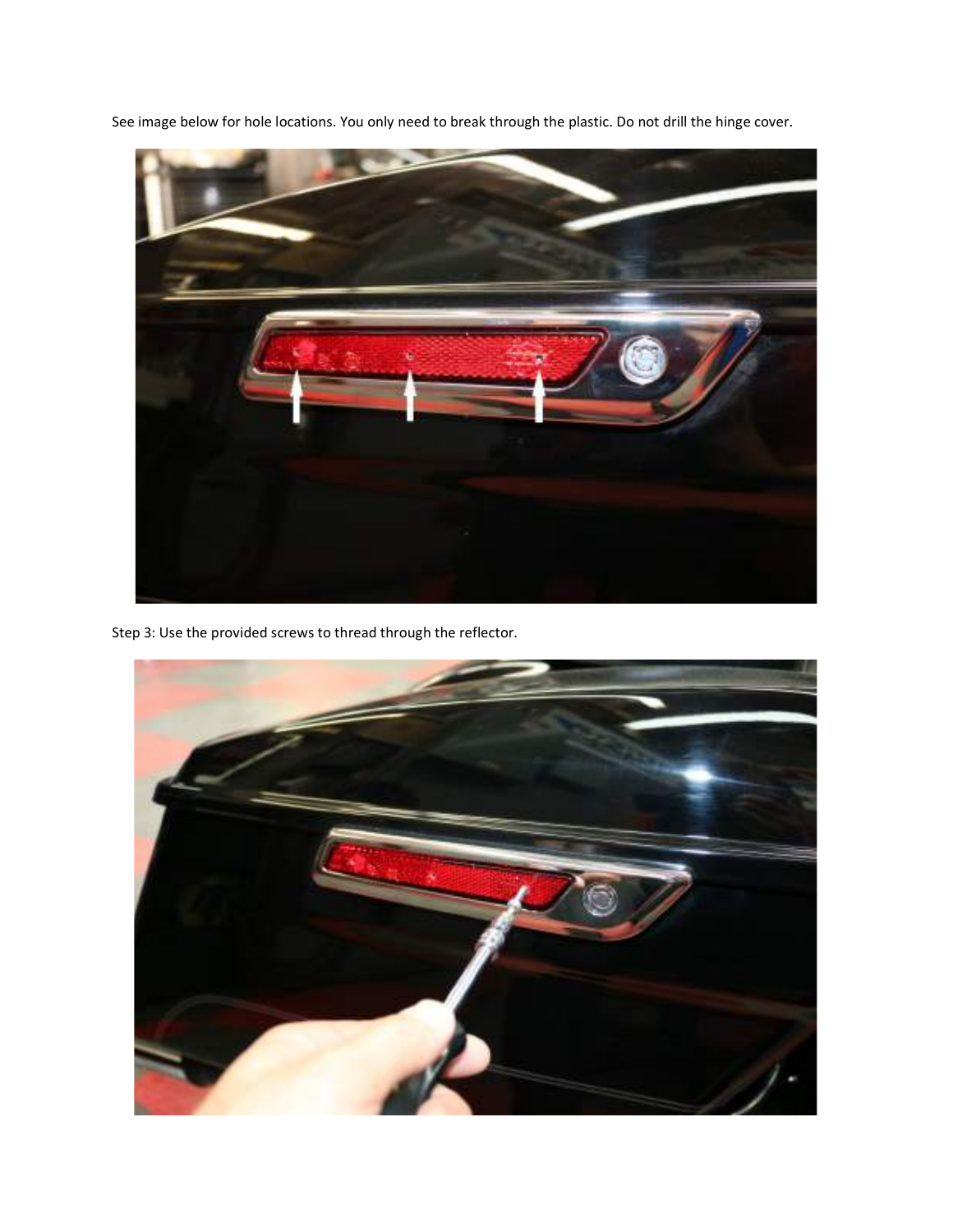See image below for hole locations. You only need to break through the plastic. Do not drill the hinge cover.



Step 3: Use the provided screws to thread through the reflector.

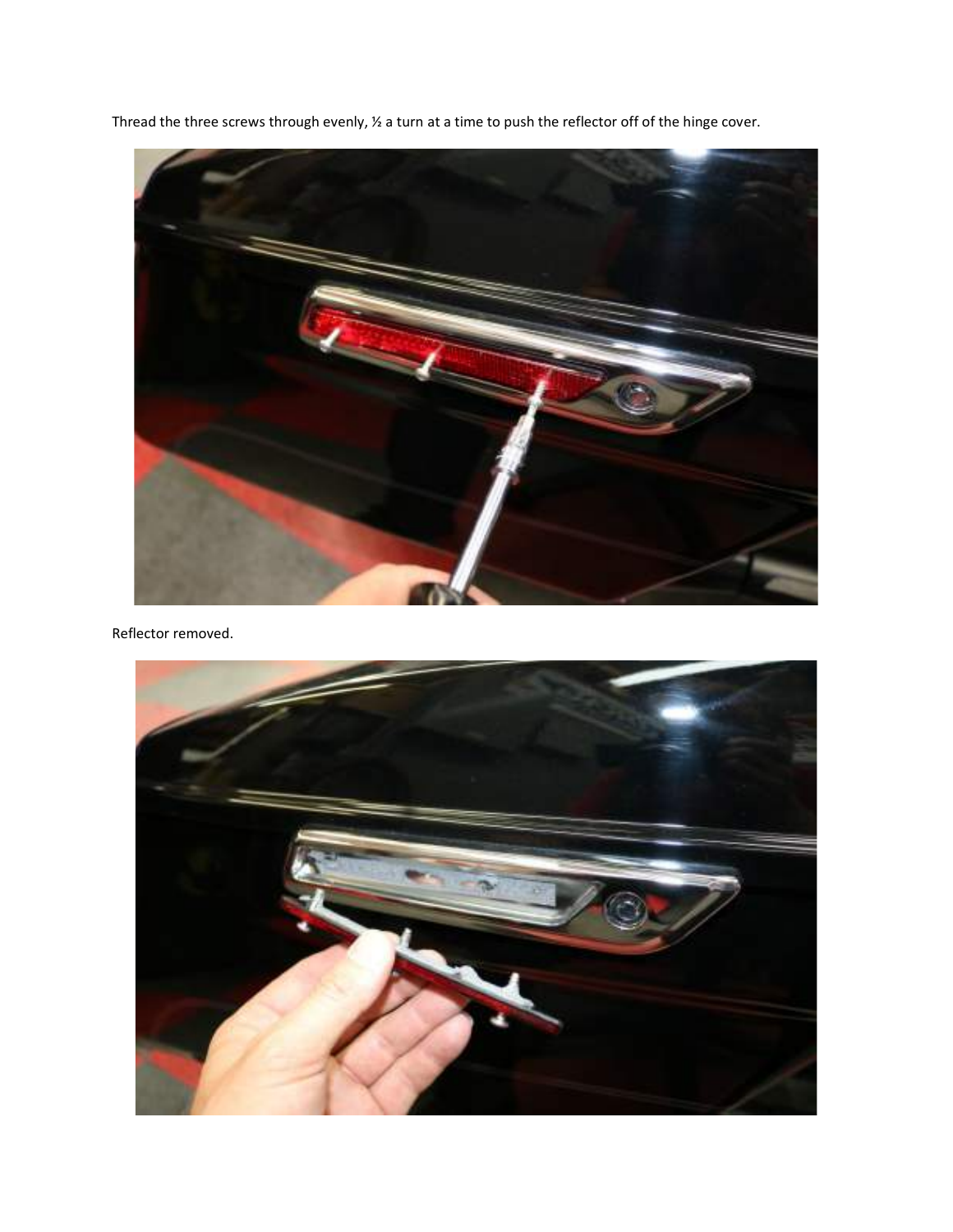Thread the three screws through evenly, ½ a turn at a time to push the reflector off of the hinge cover.



Reflector removed.

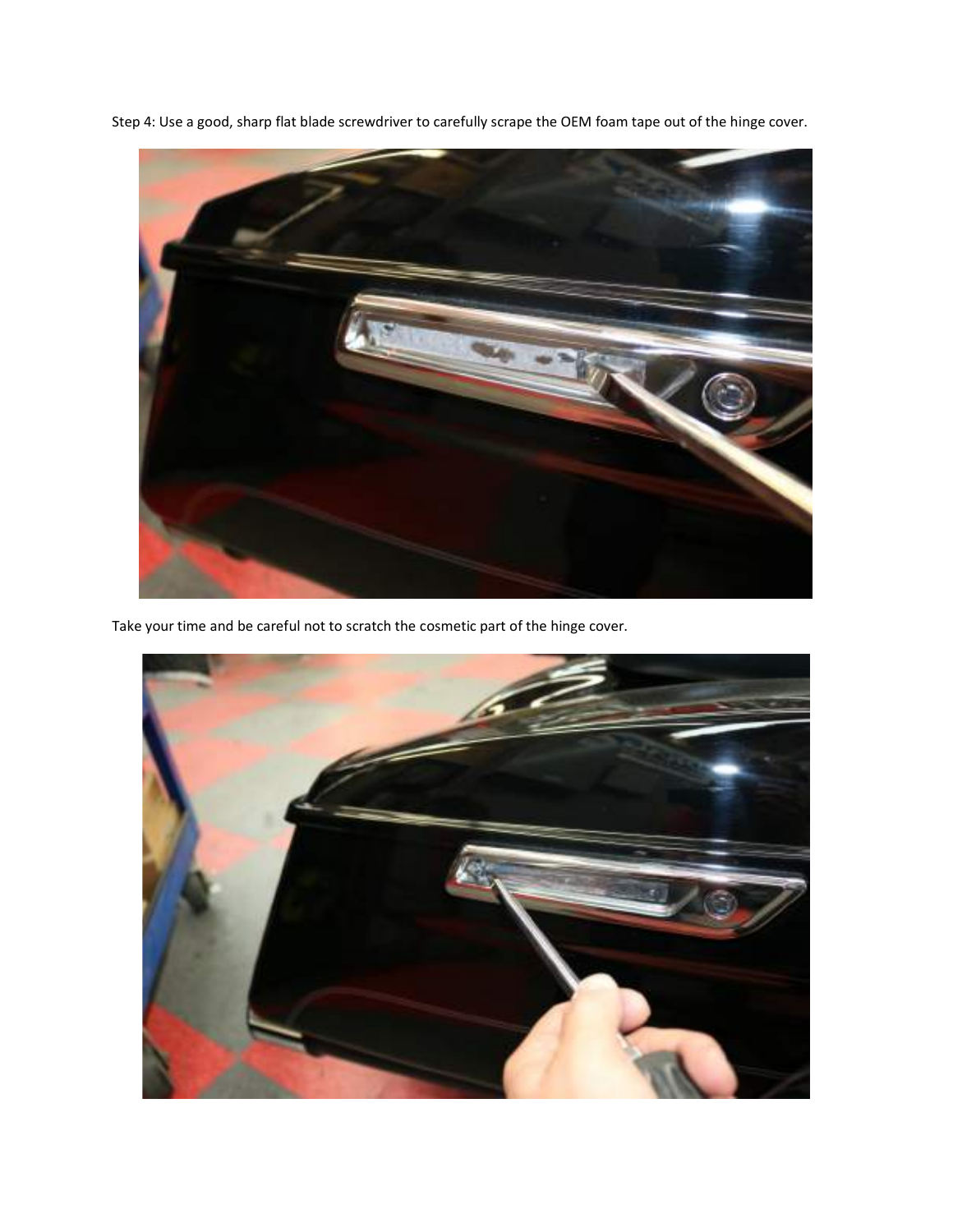Step 4: Use a good, sharp flat blade screwdriver to carefully scrape the OEM foam tape out of the hinge cover.



Take your time and be careful not to scratch the cosmetic part of the hinge cover.

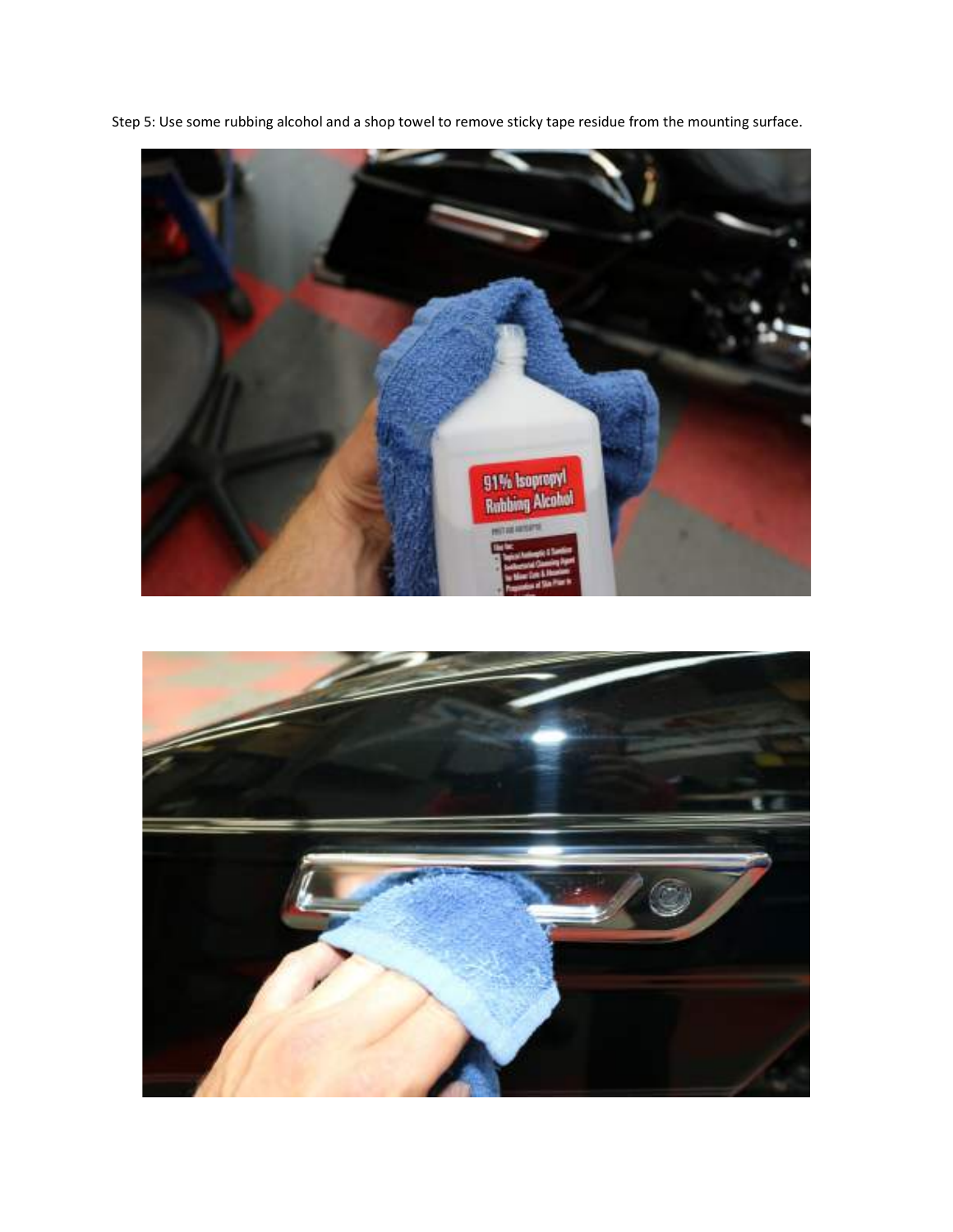Step 5: Use some rubbing alcohol and a shop towel to remove sticky tape residue from the mounting surface.



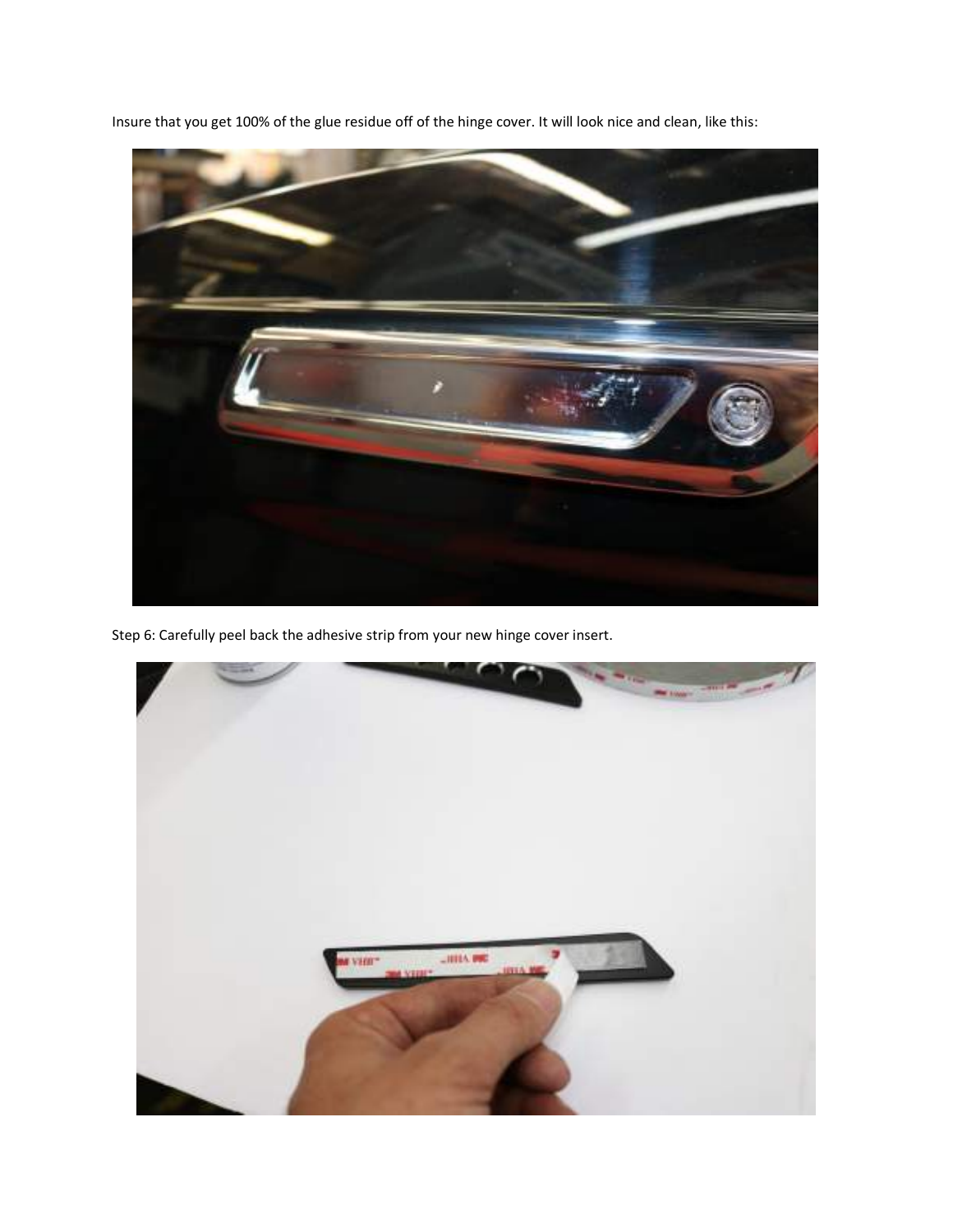Insure that you get 100% of the glue residue off of the hinge cover. It will look nice and clean, like this:



Step 6: Carefully peel back the adhesive strip from your new hinge cover insert.

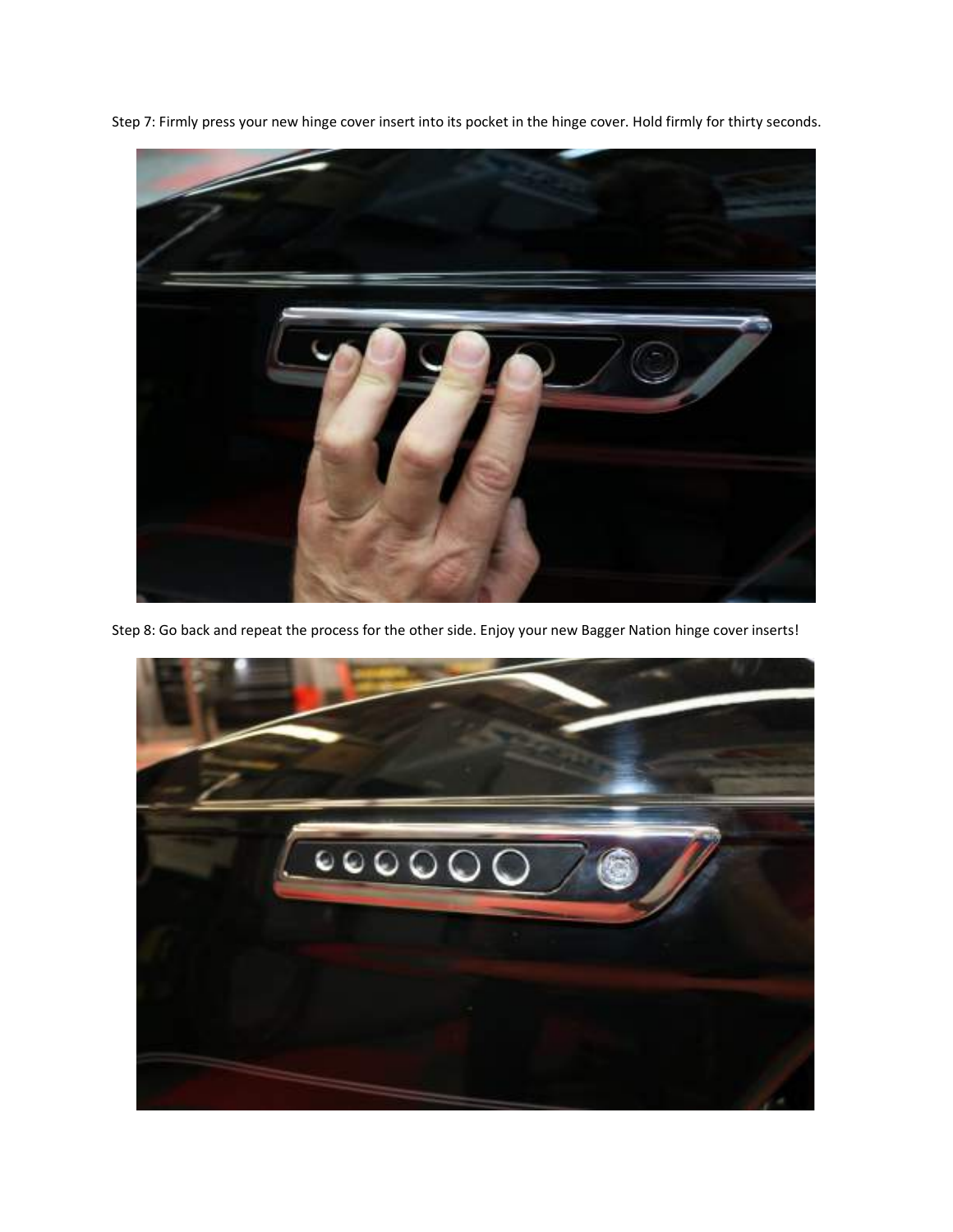Step 7: Firmly press your new hinge cover insert into its pocket in the hinge cover. Hold firmly for thirty seconds.



Step 8: Go back and repeat the process for the other side. Enjoy your new Bagger Nation hinge cover inserts!